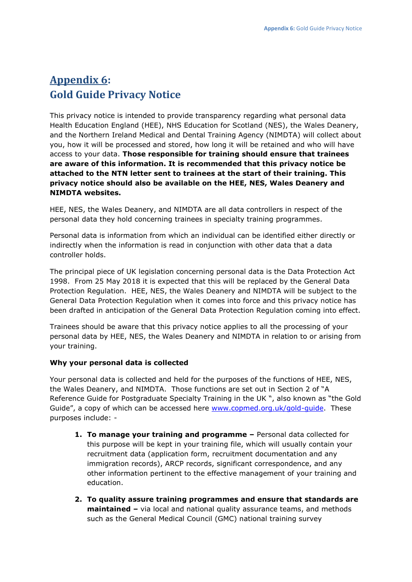# **Appendix 6: Gold Guide Privacy Notice**

This privacy notice is intended to provide transparency regarding what personal data Health Education England (HEE), NHS Education for Scotland (NES), the Wales Deanery, and the Northern Ireland Medical and Dental Training Agency (NIMDTA) will collect about you, how it will be processed and stored, how long it will be retained and who will have access to your data. **Those responsible for training should ensure that trainees are aware of this information. It is recommended that this privacy notice be attached to the NTN letter sent to trainees at the start of their training. This privacy notice should also be available on the HEE, NES, Wales Deanery and NIMDTA websites.**

HEE, NES, the Wales Deanery, and NIMDTA are all data controllers in respect of the personal data they hold concerning trainees in specialty training programmes.

Personal data is information from which an individual can be identified either directly or indirectly when the information is read in conjunction with other data that a data controller holds.

The principal piece of UK legislation concerning personal data is the Data Protection Act 1998. From 25 May 2018 it is expected that this will be replaced by the General Data Protection Regulation. HEE, NES, the Wales Deanery and NIMDTA will be subject to the General Data Protection Regulation when it comes into force and this privacy notice has been drafted in anticipation of the General Data Protection Regulation coming into effect.

Trainees should be aware that this privacy notice applies to all the processing of your personal data by HEE, NES, the Wales Deanery and NIMDTA in relation to or arising from your training.

# **Why your personal data is collected**

Your personal data is collected and held for the purposes of the functions of HEE, NES, the Wales Deanery, and NIMDTA. Those functions are set out in Section 2 of "A Reference Guide for Postgraduate Specialty Training in the UK ", also known as "the Gold Guide", a copy of which can be accessed here [www.copmed.org.uk/gold-guide.](https://www.copmed.org.uk/gold-guide/) These purposes include: -

- **1. To manage your training and programme –** Personal data collected for this purpose will be kept in your training file, which will usually contain your recruitment data (application form, recruitment documentation and any immigration records), ARCP records, significant correspondence, and any other information pertinent to the effective management of your training and education.
- **2. To quality assure training programmes and ensure that standards are maintained –** via local and national quality assurance teams, and methods such as the General Medical Council (GMC) national training survey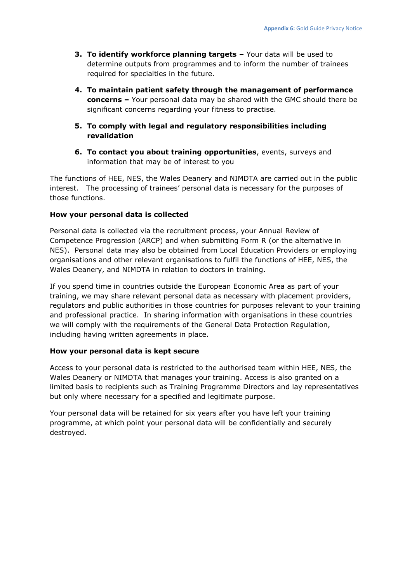- **3. To identify workforce planning targets –** Your data will be used to determine outputs from programmes and to inform the number of trainees required for specialties in the future.
- **4. To maintain patient safety through the management of performance concerns –** Your personal data may be shared with the GMC should there be significant concerns regarding your fitness to practise.
- **5. To comply with legal and regulatory responsibilities including revalidation**
- **6. To contact you about training opportunities**, events, surveys and information that may be of interest to you

The functions of HEE, NES, the Wales Deanery and NIMDTA are carried out in the public interest. The processing of trainees' personal data is necessary for the purposes of those functions.

## **How your personal data is collected**

Personal data is collected via the recruitment process, your Annual Review of Competence Progression (ARCP) and when submitting Form R (or the alternative in NES). Personal data may also be obtained from Local Education Providers or employing organisations and other relevant organisations to fulfil the functions of HEE, NES, the Wales Deanery, and NIMDTA in relation to doctors in training.

If you spend time in countries outside the European Economic Area as part of your training, we may share relevant personal data as necessary with placement providers, regulators and public authorities in those countries for purposes relevant to your training and professional practice. In sharing information with organisations in these countries we will comply with the requirements of the General Data Protection Regulation, including having written agreements in place.

### **How your personal data is kept secure**

Access to your personal data is restricted to the authorised team within HEE, NES, the Wales Deanery or NIMDTA that manages your training. Access is also granted on a limited basis to recipients such as Training Programme Directors and lay representatives but only where necessary for a specified and legitimate purpose.

Your personal data will be retained for six years after you have left your training programme, at which point your personal data will be confidentially and securely destroyed.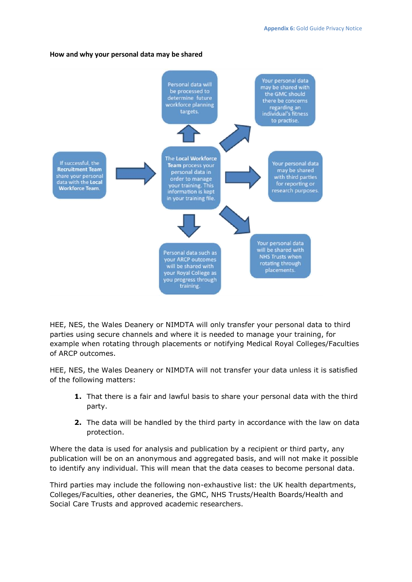#### **How and why your personal data may be shared**



HEE, NES, the Wales Deanery or NIMDTA will only transfer your personal data to third parties using secure channels and where it is needed to manage your training, for example when rotating through placements or notifying Medical Royal Colleges/Faculties of ARCP outcomes.

HEE, NES, the Wales Deanery or NIMDTA will not transfer your data unless it is satisfied of the following matters:

- **1.** That there is a fair and lawful basis to share your personal data with the third party.
- **2.** The data will be handled by the third party in accordance with the law on data protection.

Where the data is used for analysis and publication by a recipient or third party, any publication will be on an anonymous and aggregated basis, and will not make it possible to identify any individual. This will mean that the data ceases to become personal data.

Third parties may include the following non-exhaustive list: the UK health departments, Colleges/Faculties, other deaneries, the GMC, NHS Trusts/Health Boards/Health and Social Care Trusts and approved academic researchers.